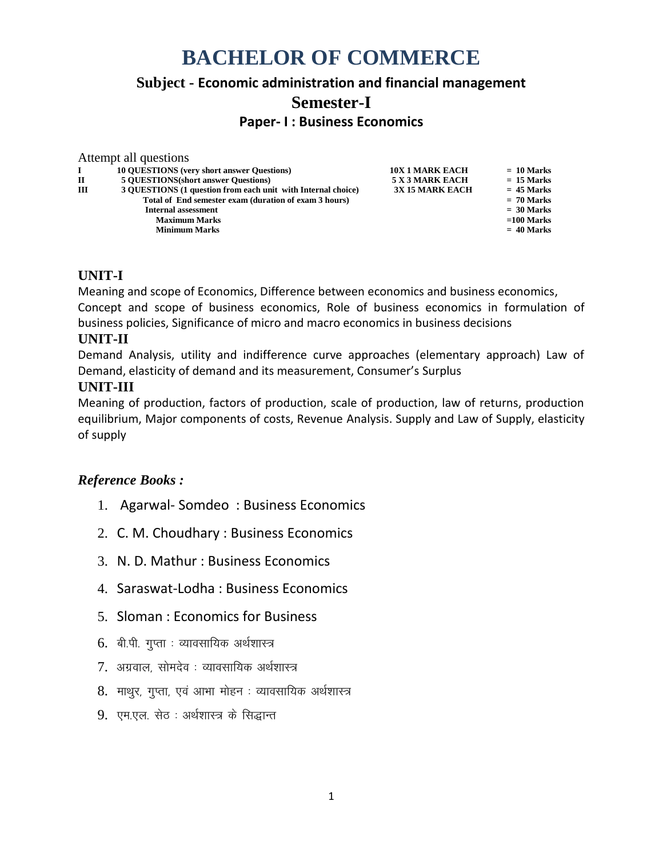# **BACHELOR OF COMMERCE**

# **Subject - Economic administration and financial management Semester-I**

**Paper- I : Business Economics**

|   | Attempt all questions                                        |                        |              |
|---|--------------------------------------------------------------|------------------------|--------------|
|   | <b>10 OUESTIONS</b> (very short answer Questions)            | <b>10X 1 MARK EACH</b> | $= 10$ Marks |
| П | <b>5 OUESTIONS</b> (short answer Questions)                  | 5 X 3 MARK EACH        | $= 15$ Marks |
| Ш | 3 QUESTIONS (1 question from each unit with Internal choice) | <b>3X 15 MARK EACH</b> | $= 45$ Marks |
|   | Total of End semester exam (duration of exam 3 hours)        |                        | $= 70$ Marks |
|   | <b>Internal assessment</b>                                   |                        | $= 30$ Marks |
|   | <b>Maximum Marks</b>                                         |                        | $=100$ Marks |
|   | <b>Minimum Marks</b>                                         |                        | $= 40$ Marks |
|   |                                                              |                        |              |

# **UNIT-I**

Meaning and scope of Economics, Difference between economics and business economics, Concept and scope of business economics, Role of business economics in formulation of business policies, Significance of micro and macro economics in business decisions

## **UNIT-II**

Demand Analysis, utility and indifference curve approaches (elementary approach) Law of Demand, elasticity of demand and its measurement, Consumer's Surplus

## **UNIT-III**

Meaning of production, factors of production, scale of production, law of returns, production equilibrium, Major components of costs, Revenue Analysis. Supply and Law of Supply, elasticity of supply

- 1. Agarwal- Somdeo : Business Economics
- 2. C. M. Choudhary : Business Economics
- 3. N. D. Mathur : Business Economics
- 4. Saraswat-Lodha : Business Economics
- 5. Sloman : Economics for Business
- $6.$  बी.पी. गुप्ता : व्यावसायिक अर्थशास्त्र
- 7. अग्रवाल, सोमदेव : व्यावसायिक अर्थशास्त्र
- 8. माथुर, गुप्ता, एवं आभा मोहन : व्यावसायिक अर्थशास्त्र
- 9. एम.एल. सेठ : अर्थशास्त्र के सिद्धान्त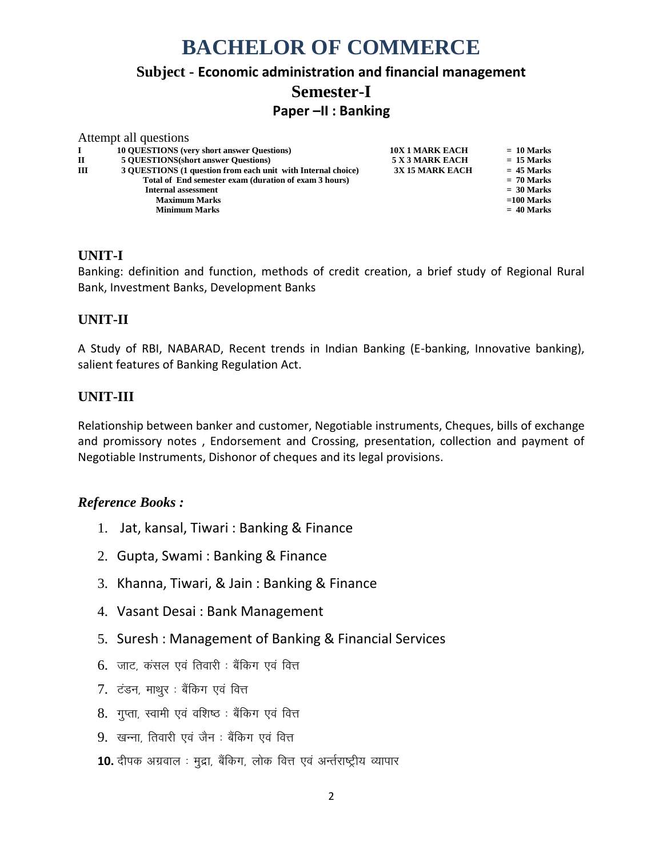# **BACHELOR OF COMMERCE**

# **Subject - Economic administration and financial management Semester-I**

## **Paper –II : Banking**

|              | Attempt all questions                                        |                        |              |
|--------------|--------------------------------------------------------------|------------------------|--------------|
|              | <b>10 OUESTIONS</b> (very short answer Questions)            | <b>10X 1 MARK EACH</b> | $= 10$ Marks |
| $\mathbf{H}$ | <b>5 OUESTIONS</b> (short answer Questions)                  | 5 X 3 MARK EACH        | $= 15$ Marks |
| Ш            | 3 OUESTIONS (1 question from each unit with Internal choice) | <b>3X 15 MARK EACH</b> | $= 45$ Marks |
|              | Total of End semester exam (duration of exam 3 hours)        |                        | $= 70$ Marks |
|              | <b>Internal assessment</b>                                   |                        | $= 30$ Marks |
|              | <b>Maximum Marks</b>                                         |                        | $=100$ Marks |
|              | <b>Minimum Marks</b>                                         |                        | $= 40$ Marks |
|              |                                                              |                        |              |

## **UNIT-I**

Banking: definition and function, methods of credit creation, a brief study of Regional Rural Bank, Investment Banks, Development Banks

# **UNIT-II**

A Study of RBI, NABARAD, Recent trends in Indian Banking (E-banking, Innovative banking), salient features of Banking Regulation Act.

## **UNIT-III**

Relationship between banker and customer, Negotiable instruments, Cheques, bills of exchange and promissory notes , Endorsement and Crossing, presentation, collection and payment of Negotiable Instruments, Dishonor of cheques and its legal provisions.

- 1. Jat, kansal, Tiwari : Banking & Finance
- 2. Gupta, Swami : Banking & Finance
- 3. Khanna, Tiwari, & Jain : Banking & Finance
- 4. Vasant Desai : Bank Management
- 5. Suresh : Management of Banking & Financial Services
- $6.$  जाट, कंसल एवं तिवारी : बैंकिग एवं वित्त
- 7. टंडन, माथुर : बैंकिग एवं वित्त
- 8. गुप्ता, स्वामी एवं वशिष्ठ : बैंकिंग एवं वित्त
- 9. खन्ना, तिवारी एवं जैन : बैंकिग एवं वित्त
- 10. दीपक अग्रवाल : मुद्रा, बैंकिग, लोक वित्त एवं अर्न्तराष्ट्रीय व्यापार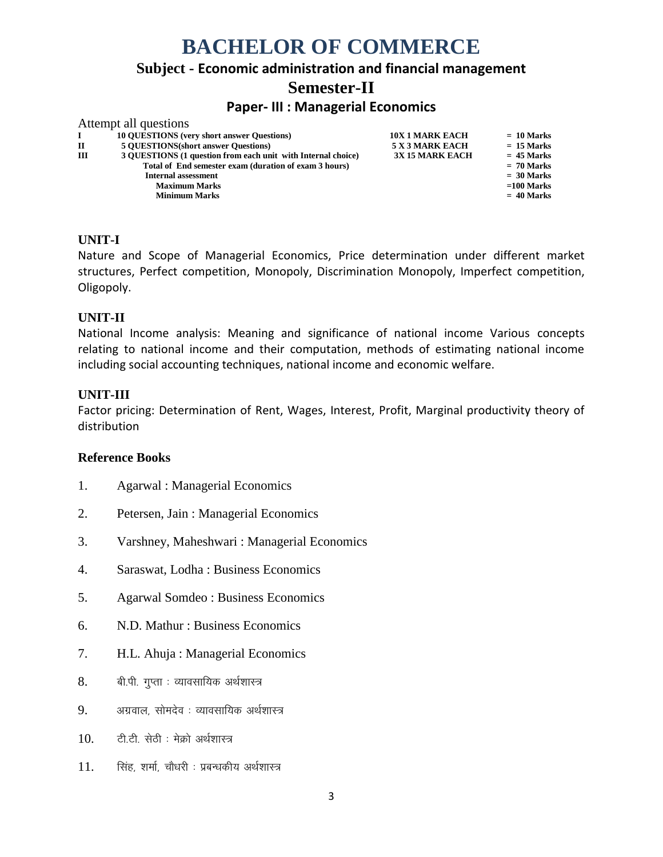# **BACHELOR OF COMMERCE Subject - Economic administration and financial management Semester-II Paper- III : Managerial Economics** Attempt all questions

|              | THROMPH and QUESTIONS                                        |                        |              |
|--------------|--------------------------------------------------------------|------------------------|--------------|
| $\mathbf{I}$ | <b>10 QUESTIONS</b> (very short answer Questions)            | <b>10X 1 MARK EACH</b> | $= 10$ Marks |
| $\mathbf{H}$ | <b>5 OUESTIONS</b> (short answer Questions)                  | 5 X 3 MARK EACH        | $= 15$ Marks |
| ш            | 3 OUESTIONS (1 question from each unit with Internal choice) | <b>3X 15 MARK EACH</b> | $= 45$ Marks |
|              | Total of End semester exam (duration of exam 3 hours)        |                        | $= 70$ Marks |
|              | <b>Internal assessment</b>                                   |                        | $= 30$ Marks |
|              | <b>Maximum Marks</b>                                         |                        | $=100$ Marks |
|              | <b>Minimum Marks</b>                                         |                        | $= 40$ Marks |
|              |                                                              |                        |              |

#### **UNIT-I**

Nature and Scope of Managerial Economics, Price determination under different market structures, Perfect competition, Monopoly, Discrimination Monopoly, Imperfect competition, Oligopoly.

#### **UNIT-II**

National Income analysis: Meaning and significance of national income Various concepts relating to national income and their computation, methods of estimating national income including social accounting techniques, national income and economic welfare.

#### **UNIT-III**

Factor pricing: Determination of Rent, Wages, Interest, Profit, Marginal productivity theory of distribution

- 1. Agarwal : Managerial Economics
- 2. Petersen, Jain : Managerial Economics
- 3. Varshney, Maheshwari : Managerial Economics
- 4. Saraswat, Lodha : Business Economics
- 5. Agarwal Somdeo : Business Economics
- 6. N.D. Mathur : Business Economics
- 7. H.L. Ahuja : Managerial Economics
- 8. बी.पी. गुप्ता : व्यावसायिक अर्थशास्त्र
- $9.$  अग्रवाल सोमदेव : व्यावसायिक अर्थशास्त्र
- $10.$   $\sigma$ टी. से से से अर्थशास्त्र
- $11.$  सिंह, शर्मा, चौधरी : प्रबन्धकीय अर्थशास्त्र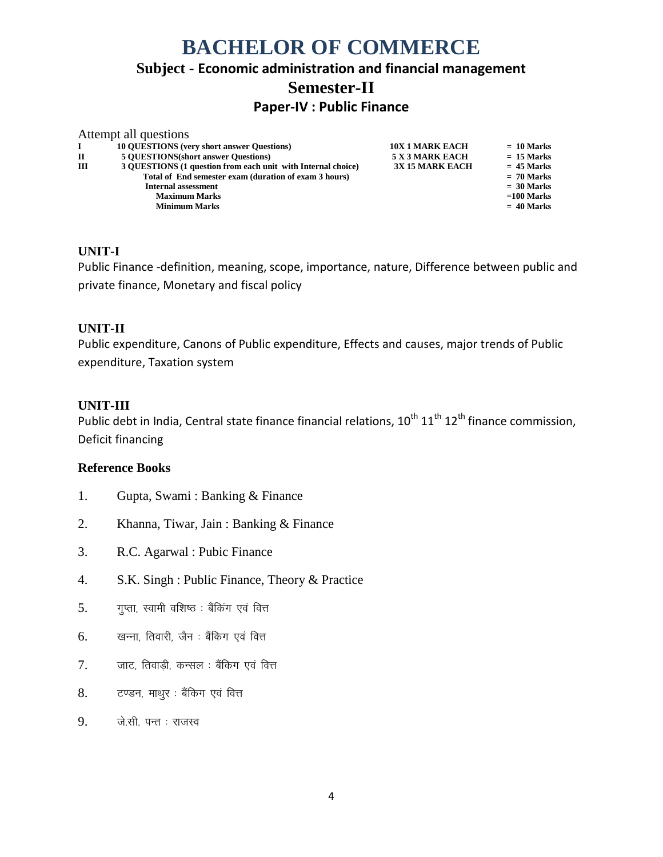# **BACHELOR OF COMMERCE Subject - Economic administration and financial management Semester-II Paper-IV : Public Finance**

|   | Attempt all questions                                        |                        |              |
|---|--------------------------------------------------------------|------------------------|--------------|
|   | <b>10 QUESTIONS</b> (very short answer Questions)            | <b>10X 1 MARK EACH</b> | $= 10$ Marks |
| П | <b>5 OUESTIONS</b> (short answer Questions)                  | 5 X 3 MARK EACH        | $= 15$ Marks |
| Ш | 3 OUESTIONS (1 question from each unit with Internal choice) | <b>3X 15 MARK EACH</b> | $= 45$ Marks |
|   | Total of End semester exam (duration of exam 3 hours)        |                        | $= 70$ Marks |
|   | <b>Internal assessment</b>                                   |                        | $=$ 30 Marks |
|   | <b>Maximum Marks</b>                                         |                        | $=100$ Marks |
|   | <b>Minimum Marks</b>                                         |                        | $= 40$ Marks |

#### **UNIT-I**

Public Finance -definition, meaning, scope, importance, nature, Difference between public and private finance, Monetary and fiscal policy

#### **UNIT-II**

Public expenditure, Canons of Public expenditure, Effects and causes, major trends of Public expenditure, Taxation system

#### **UNIT-III**

Public debt in India, Central state finance financial relations,  $10^{th}$   $11^{th}$   $12^{th}$  finance commission, Deficit financing

- 1. Gupta, Swami : Banking & Finance
- 2. Khanna, Tiwar, Jain : Banking & Finance
- 3. R.C. Agarwal : Pubic Finance
- 4. S.K. Singh : Public Finance, Theory & Practice
- $5.$  Tप्ता, स्वामी वशिष्ठ : बैंकिंग एवं वित्त
- $6.$  खन्ना, तिवारी, जैन : बैंकिग एवं वित्त
- $7.$  जाट, तिवाडी, कन्सल : बैंकिंग एवं वित्त
- 8. टण्डन, माथुर : बैंकिंग एवं वित्त
- $9.$  जे.सी. पन्त : राजस्व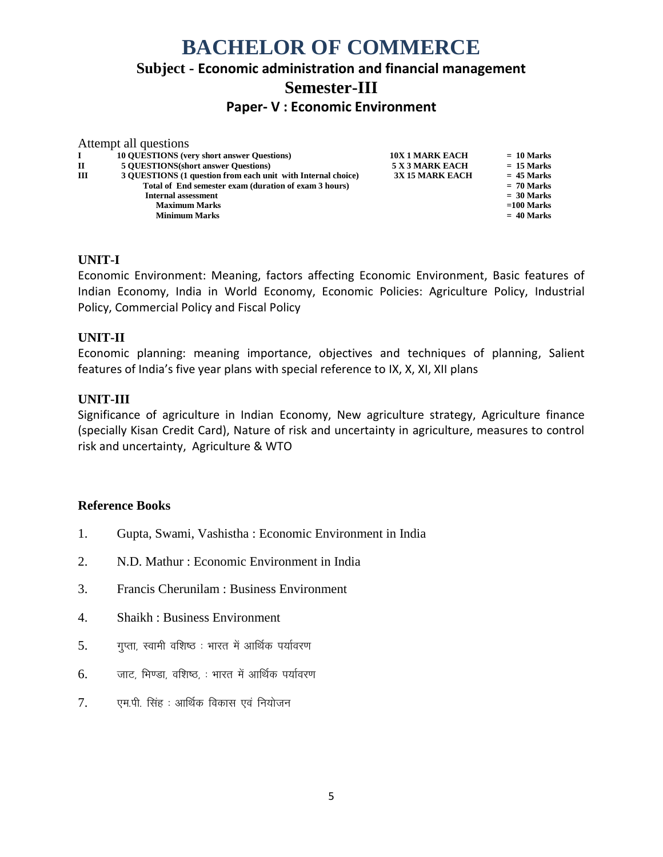# **BACHELOR OF COMMERCE Subject - Economic administration and financial management Semester-III Paper- V : Economic Environment**

|   | Attempt all questions                                        |                        |              |
|---|--------------------------------------------------------------|------------------------|--------------|
|   | <b>10 OUESTIONS</b> (very short answer Questions)            | <b>10X 1 MARK EACH</b> | $= 10$ Marks |
| П | <b>5 OUESTIONS</b> (short answer Questions)                  | 5 X 3 MARK EACH        | $= 15$ Marks |
| Ш | 3 OUESTIONS (1 question from each unit with Internal choice) | <b>3X 15 MARK EACH</b> | $= 45$ Marks |
|   | Total of End semester exam (duration of exam 3 hours)        |                        | $= 70$ Marks |
|   | <b>Internal assessment</b>                                   |                        | $= 30$ Marks |
|   | <b>Maximum Marks</b>                                         |                        | $=100$ Marks |
|   | <b>Minimum Marks</b>                                         |                        | $= 40$ Marks |
|   |                                                              |                        |              |

#### **UNIT-I**

Economic Environment: Meaning, factors affecting Economic Environment, Basic features of Indian Economy, India in World Economy, Economic Policies: Agriculture Policy, Industrial Policy, Commercial Policy and Fiscal Policy

#### **UNIT-II**

Economic planning: meaning importance, objectives and techniques of planning, Salient features of India's five year plans with special reference to IX, X, XI, XII plans

#### **UNIT-III**

Significance of agriculture in Indian Economy, New agriculture strategy, Agriculture finance (specially Kisan Credit Card), Nature of risk and uncertainty in agriculture, measures to control risk and uncertainty, Agriculture & WTO

- 1. Gupta, Swami, Vashistha : Economic Environment in India
- 2. N.D. Mathur : Economic Environment in India
- 3. Francis Cherunilam : Business Environment
- 4. Shaikh : Business Environment
- $5.$  Tप्ता, स्वामी वशिष्ठ: भारत में आर्थिक पर्यावरण
- $6.$  प्राट, भिण्डा, वशिष्ठ, : भारत में आर्थिक पर्यावरण
- $7.$  एम.पी. सिंह : आर्थिक विकास एवं नियोजन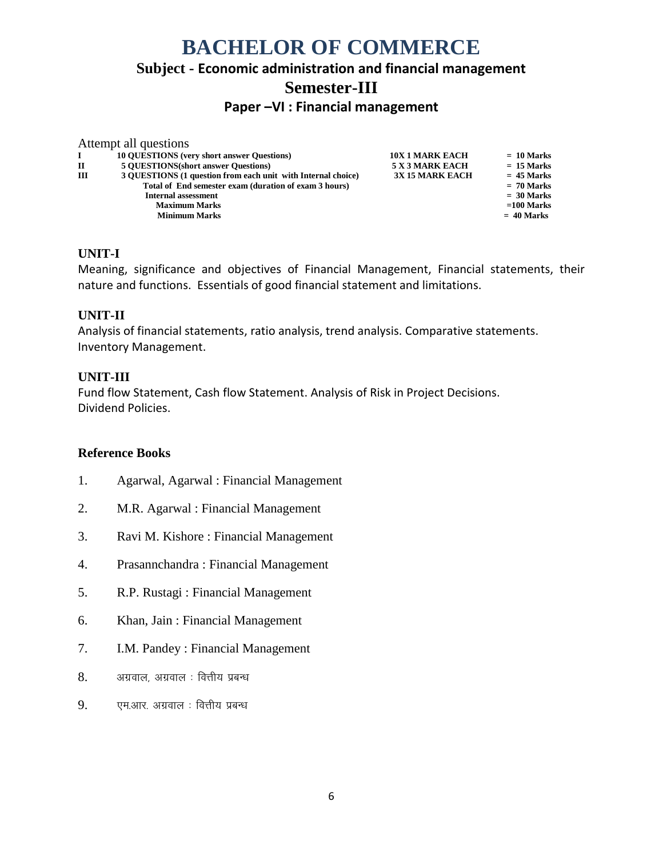# **BACHELOR OF COMMERCE Subject - Economic administration and financial management Semester-III**

**Paper –VI : Financial management**

| Attempt all questions                                        |                        |              |
|--------------------------------------------------------------|------------------------|--------------|
| <b>10 OUESTIONS</b> (very short answer Ouestions)            | <b>10X 1 MARK EACH</b> | $= 10$ Marks |
| <b>5 OUESTIONS</b> (short answer Questions)                  | <b>5 X 3 MARK EACH</b> | $= 15$ Marks |
| 3 OUESTIONS (1 question from each unit with Internal choice) | <b>3X 15 MARK EACH</b> | $= 45$ Marks |
| Total of End semester exam (duration of exam 3 hours)        |                        | $= 70$ Marks |
| <b>Internal assessment</b>                                   |                        | $= 30$ Marks |
| <b>Maximum Marks</b>                                         |                        | $=100$ Marks |
| <b>Minimum Marks</b>                                         |                        | $= 40$ Marks |
|                                                              |                        |              |

### **UNIT-I**

Meaning, significance and objectives of Financial Management, Financial statements, their nature and functions. Essentials of good financial statement and limitations.

#### **UNIT-II**

Analysis of financial statements, ratio analysis, trend analysis. Comparative statements. Inventory Management.

#### **UNIT-III**

Fund flow Statement, Cash flow Statement. Analysis of Risk in Project Decisions. Dividend Policies.

- 1. Agarwal, Agarwal : Financial Management
- 2. M.R. Agarwal : Financial Management
- 3. Ravi M. Kishore : Financial Management
- 4. Prasannchandra : Financial Management
- 5. R.P. Rustagi : Financial Management
- 6. Khan, Jain : Financial Management
- 7. I.M. Pandey : Financial Management
- $8.$  अग्रवाल, अग्रवाल : वित्तीय प्रबन्ध
- 9. एम.आर. अग्रवाल : वित्तीय प्रबन्ध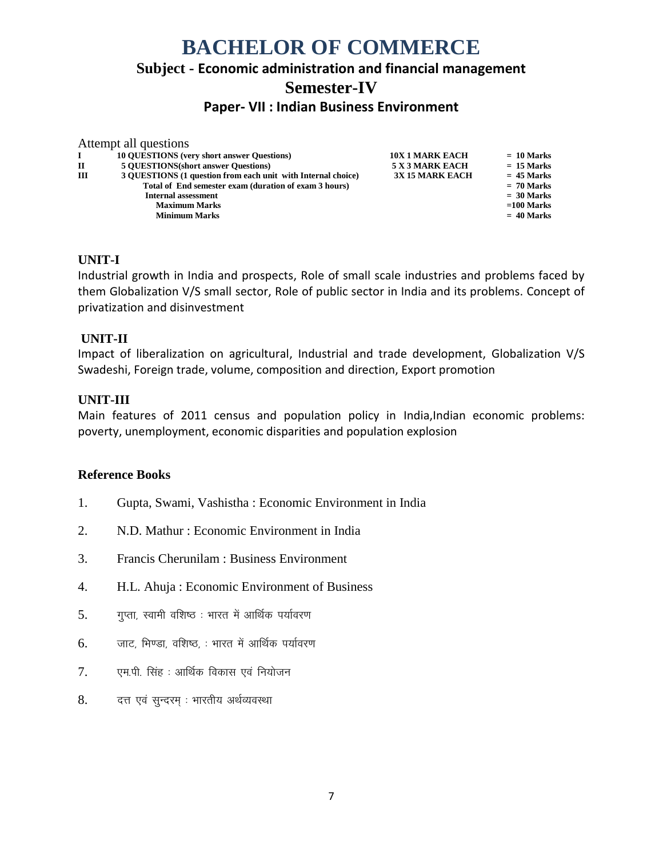# **BACHELOR OF COMMERCE Subject - Economic administration and financial management Semester-IV**

# **Paper- VII : Indian Business Environment**

|          | Attempt all questions                                        |                        |              |
|----------|--------------------------------------------------------------|------------------------|--------------|
| $\bf{I}$ | <b>10 QUESTIONS</b> (very short answer Questions)            | <b>10X 1 MARK EACH</b> | $= 10$ Marks |
| П        | <b>5 OUESTIONS</b> (short answer Questions)                  | 5 X 3 MARK EACH        | $= 15$ Marks |
| ш        | 3 QUESTIONS (1 question from each unit with Internal choice) | <b>3X 15 MARK EACH</b> | $= 45$ Marks |
|          | Total of End semester exam (duration of exam 3 hours)        |                        | $= 70$ Marks |
|          | <b>Internal assessment</b>                                   |                        | $= 30$ Marks |
|          | <b>Maximum Marks</b>                                         |                        | $=100$ Marks |
|          | <b>Minimum Marks</b>                                         |                        | $= 40$ Marks |
|          |                                                              |                        |              |

#### **UNIT-I**

Industrial growth in India and prospects, Role of small scale industries and problems faced by them Globalization V/S small sector, Role of public sector in India and its problems. Concept of privatization and disinvestment

#### **UNIT-II**

Impact of liberalization on agricultural, Industrial and trade development, Globalization V/S Swadeshi, Foreign trade, volume, composition and direction, Export promotion

#### **UNIT-III**

Main features of 2011 census and population policy in India,Indian economic problems: poverty, unemployment, economic disparities and population explosion

- 1. Gupta, Swami, Vashistha : Economic Environment in India
- 2. N.D. Mathur : Economic Environment in India
- 3. Francis Cherunilam : Business Environment
- 4. H.L. Ahuja : Economic Environment of Business
- $5.$  Tप्ता, स्वामी वशिष्ठ: भारत में आर्थिक पर्यावरण
- $6.$  जाट, भिण्डा, वशिष्ठ, : भारत में आर्थिक पर्यावरण
- $7.$  एम.पी. सिंह : आर्थिक विकास एवं नियोजन
- 8. वत एवं सुन्दरम् : भारतीय अर्थव्यवस्था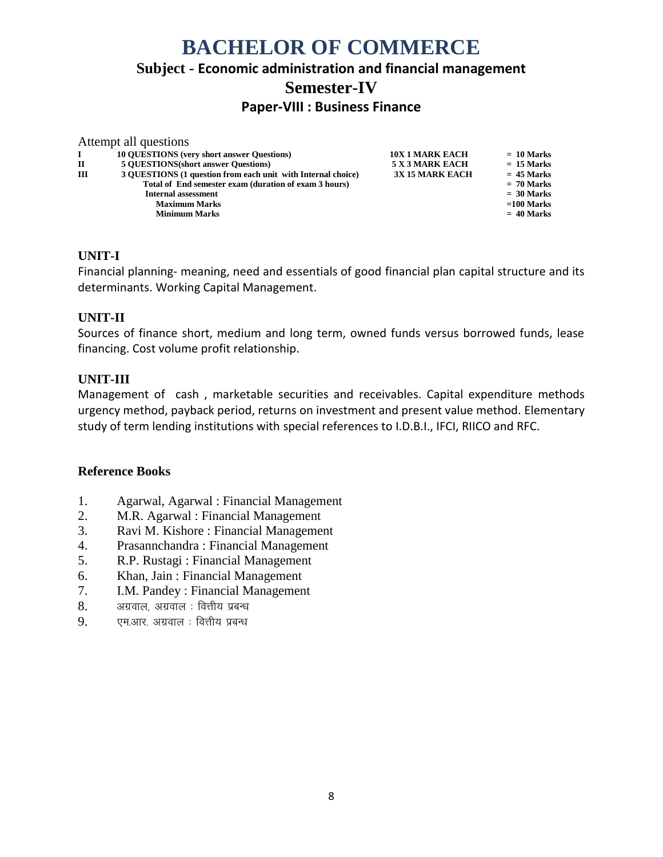# **BACHELOR OF COMMERCE Subject - Economic administration and financial management Semester-IV Paper-VIII : Business Finance**

|   | Attempt all questions                                        |                        |              |
|---|--------------------------------------------------------------|------------------------|--------------|
|   | <b>10 OUESTIONS</b> (very short answer Questions)            | <b>10X 1 MARK EACH</b> | $= 10$ Marks |
| п | <b>5 OUESTIONS</b> (short answer Questions)                  | <b>5 X 3 MARK EACH</b> | $= 15$ Marks |
| Ш | 3 QUESTIONS (1 question from each unit with Internal choice) | <b>3X 15 MARK EACH</b> | $= 45$ Marks |
|   | Total of End semester exam (duration of exam 3 hours)        |                        | $= 70$ Marks |
|   | <b>Internal assessment</b>                                   |                        | $= 30$ Marks |
|   | <b>Maximum Marks</b>                                         |                        | $=100$ Marks |
|   | <b>Minimum Marks</b>                                         |                        | $= 40$ Marks |
|   |                                                              |                        |              |

### **UNIT-I**

Financial planning- meaning, need and essentials of good financial plan capital structure and its determinants. Working Capital Management.

#### **UNIT-II**

Sources of finance short, medium and long term, owned funds versus borrowed funds, lease financing. Cost volume profit relationship.

#### **UNIT-III**

Management of cash , marketable securities and receivables. Capital expenditure methods urgency method, payback period, returns on investment and present value method. Elementary study of term lending institutions with special references to I.D.B.I., IFCI, RIICO and RFC.

- 1. Agarwal, Agarwal : Financial Management
- 2. M.R. Agarwal : Financial Management
- 3. Ravi M. Kishore : Financial Management
- 4. Prasannchandra : Financial Management
- 5. R.P. Rustagi : Financial Management
- 6. Khan, Jain : Financial Management
- 7. I.M. Pandey : Financial Management
- $8.$  अग्रवाल, अग्रवाल : वित्तीय प्रबन्ध
- $9.$  एम.आर. अग्रवाल : वित्तीय प्रबन्ध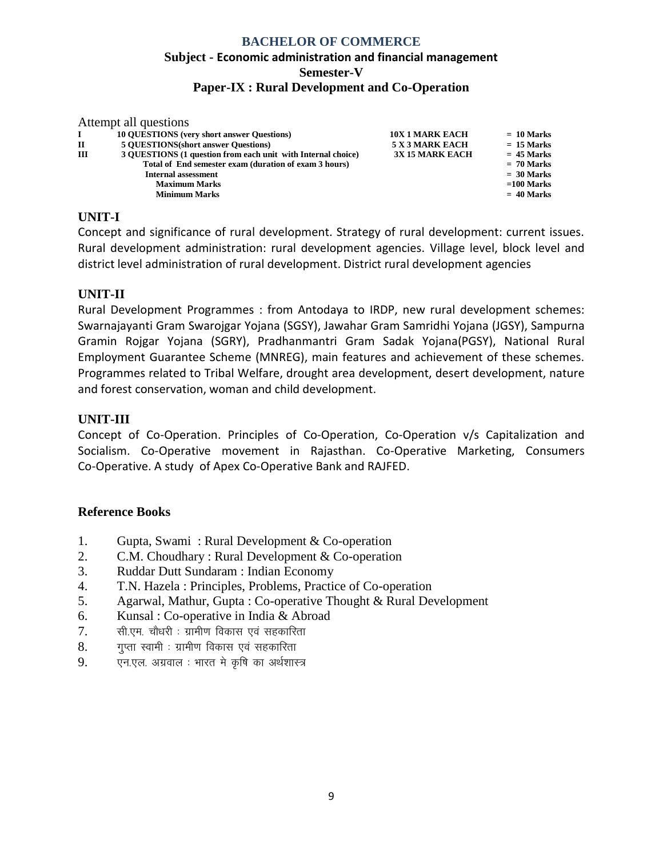## **BACHELOR OF COMMERCE Subject - Economic administration and financial management Semester-V Paper-IX : Rural Development and Co-Operation**

| Attempt all questions                                                                                         |  |
|---------------------------------------------------------------------------------------------------------------|--|
| <b>10 QUESTIONS</b> (very short answer Questions)<br><b>10X 1 MARK EACH</b><br>$= 10$ Marks                   |  |
| <b>5 OUESTIONS</b> (short answer Questions)<br>5 X 3 MARK EACH<br>$= 15$ Marks<br>П                           |  |
| III<br>3 OUESTIONS (1 question from each unit with Internal choice)<br><b>3X 15 MARK EACH</b><br>$= 45$ Marks |  |
| Total of End semester exam (duration of exam 3 hours)<br>$= 70$ Marks                                         |  |
| $=$ 30 Marks<br><b>Internal assessment</b>                                                                    |  |
| $=100$ Marks<br><b>Maximum Marks</b>                                                                          |  |
| $= 40$ Marks<br><b>Minimum Marks</b>                                                                          |  |

## **UNIT-I**

Concept and significance of rural development. Strategy of rural development: current issues. Rural development administration: rural development agencies. Village level, block level and district level administration of rural development. District rural development agencies

## **UNIT-II**

Rural Development Programmes : from Antodaya to IRDP, new rural development schemes: Swarnajayanti Gram Swarojgar Yojana (SGSY), Jawahar Gram Samridhi Yojana (JGSY), Sampurna Gramin Rojgar Yojana (SGRY), Pradhanmantri Gram Sadak Yojana(PGSY), National Rural Employment Guarantee Scheme (MNREG), main features and achievement of these schemes. Programmes related to Tribal Welfare, drought area development, desert development, nature and forest conservation, woman and child development.

## **UNIT-III**

Concept of Co-Operation. Principles of Co-Operation, Co-Operation v/s Capitalization and Socialism. Co-Operative movement in Rajasthan. Co-Operative Marketing, Consumers Co-Operative. A study of Apex Co-Operative Bank and RAJFED.

- 1. Gupta, Swami : Rural Development & Co-operation
- 2. C.M. Choudhary : Rural Development & Co-operation
- 3. Ruddar Dutt Sundaram : Indian Economy
- 4. T.N. Hazela : Principles, Problems, Practice of Co-operation
- 5. Agarwal, Mathur, Gupta : Co-operative Thought & Rural Development
- 6. Kunsal : Co-operative in India & Abroad
- $7.$  सी.एम. चौधरी : ग्रामीण विकास एवं सहकारिता
- $8.$  yun खामी : ग्रामीण विकास एवं सहकारिता
- $9.$  एन.एल. अग्रवाल : भारत मे कृषि का अर्थशास्त्र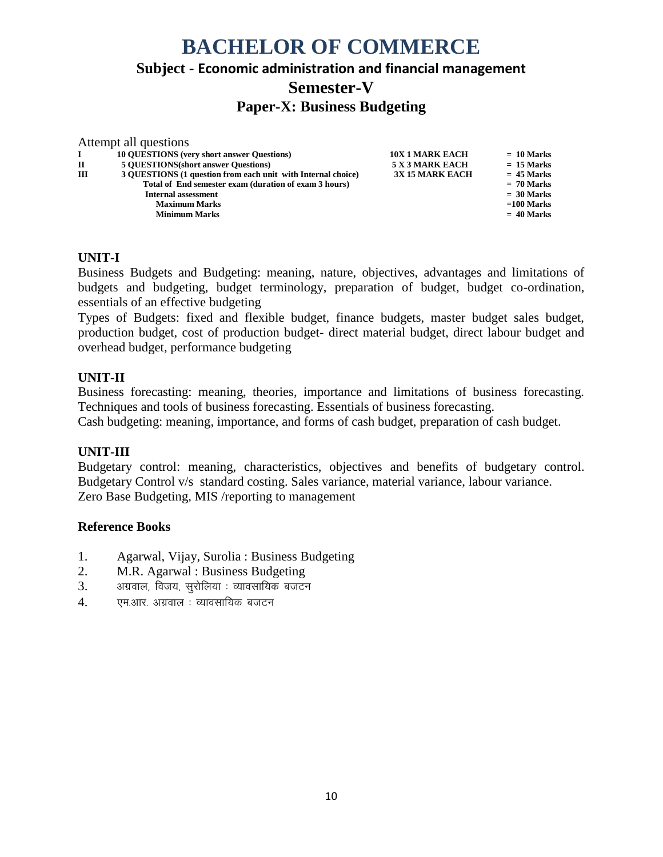# **BACHELOR OF COMMERCE Subject - Economic administration and financial management Semester-V Paper-X: Business Budgeting**

|   | Attempt all questions                                        |                        |              |
|---|--------------------------------------------------------------|------------------------|--------------|
|   | <b>10 OUESTIONS</b> (very short answer Questions)            | <b>10X 1 MARK EACH</b> | $= 10$ Marks |
| П | <b>5 OUESTIONS</b> (short answer Questions)                  | 5 X 3 MARK EACH        | $= 15$ Marks |
| Ш | 3 OUESTIONS (1 question from each unit with Internal choice) | <b>3X 15 MARK EACH</b> | $= 45$ Marks |
|   | Total of End semester exam (duration of exam 3 hours)        |                        | $= 70$ Marks |
|   | <b>Internal assessment</b>                                   |                        | $= 30$ Marks |
|   | <b>Maximum Marks</b>                                         |                        | $=100$ Marks |
|   | <b>Minimum Marks</b>                                         |                        | $= 40$ Marks |

#### **UNIT-I**

Business Budgets and Budgeting: meaning, nature, objectives, advantages and limitations of budgets and budgeting, budget terminology, preparation of budget, budget co-ordination, essentials of an effective budgeting

Types of Budgets: fixed and flexible budget, finance budgets, master budget sales budget, production budget, cost of production budget- direct material budget, direct labour budget and overhead budget, performance budgeting

#### **UNIT-II**

Business forecasting: meaning, theories, importance and limitations of business forecasting. Techniques and tools of business forecasting. Essentials of business forecasting.

Cash budgeting: meaning, importance, and forms of cash budget, preparation of cash budget.

#### **UNIT-III**

Budgetary control: meaning, characteristics, objectives and benefits of budgetary control. Budgetary Control v/s standard costing. Sales variance, material variance, labour variance. Zero Base Budgeting, MIS /reporting to management

- 1. Agarwal, Vijay, Surolia : Business Budgeting
- 2. M.R. Agarwal : Business Budgeting
- $3.$  अग्रवाल, विजय, सुरोलिया : व्यावसायिक बजटन
- 4. एम.आर. अग्रवाल : व्यावसायिक बजटन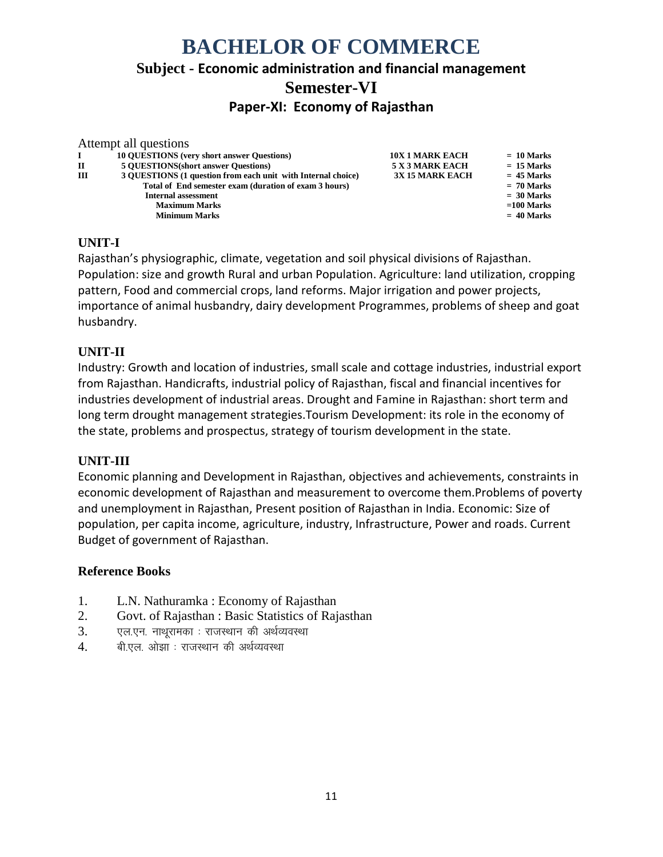# **BACHELOR OF COMMERCE Subject - Economic administration and financial management Semester-VI Paper-XI: Economy of Rajasthan**

|    | Attempt all questions                                        |                        |              |
|----|--------------------------------------------------------------|------------------------|--------------|
| Ι. | <b>10 OUESTIONS</b> (very short answer Questions)            | <b>10X 1 MARK EACH</b> | $= 10$ Marks |
| П  | <b>5 OUESTIONS</b> (short answer Questions)                  | 5 X 3 MARK EACH        | $= 15$ Marks |
| Ш  | 3 OUESTIONS (1 question from each unit with Internal choice) | <b>3X 15 MARK EACH</b> | $= 45$ Marks |
|    | Total of End semester exam (duration of exam 3 hours)        |                        | $= 70$ Marks |
|    | <b>Internal assessment</b>                                   |                        | $= 30$ Marks |
|    | <b>Maximum Marks</b>                                         |                        | $=100$ Marks |
|    | <b>Minimum Marks</b>                                         |                        | $= 40$ Marks |
|    |                                                              |                        |              |

#### **UNIT-I**

Rajasthan's physiographic, climate, vegetation and soil physical divisions of Rajasthan. Population: size and growth Rural and urban Population. Agriculture: land utilization, cropping pattern, Food and commercial crops, land reforms. Major irrigation and power projects, importance of animal husbandry, dairy development Programmes, problems of sheep and goat husbandry.

#### **UNIT-II**

Industry: Growth and location of industries, small scale and cottage industries, industrial export from Rajasthan. Handicrafts, industrial policy of Rajasthan, fiscal and financial incentives for industries development of industrial areas. Drought and Famine in Rajasthan: short term and long term drought management strategies.Tourism Development: its role in the economy of the state, problems and prospectus, strategy of tourism development in the state.

#### **UNIT-III**

Economic planning and Development in Rajasthan, objectives and achievements, constraints in economic development of Rajasthan and measurement to overcome them.Problems of poverty and unemployment in Rajasthan, Present position of Rajasthan in India. Economic: Size of population, per capita income, agriculture, industry, Infrastructure, Power and roads. Current Budget of government of Rajasthan.

- 1. L.N. Nathuramka : Economy of Rajasthan
- 2. Govt. of Rajasthan : Basic Statistics of Rajasthan
- $3.$  एल.एन. नाथूरामका : राजस्थान की अर्थव्यवस्था
- 4. बी.एल. ओझा : राजस्थान की अर्थव्यवस्था